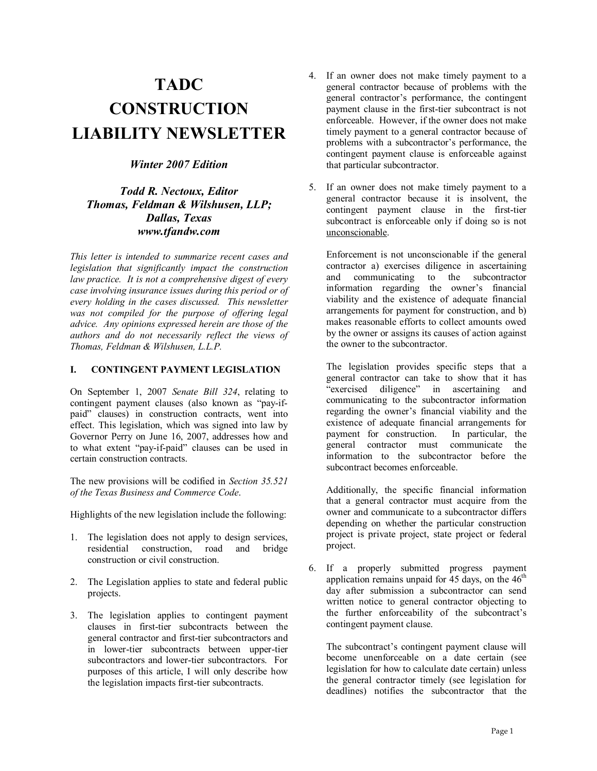# **TADC CONSTRUCTION LIABILITY NEWSLETTER**

# *Winter 2007 Edition*

# *Todd R. Nectoux, Editor Thomas, Feldman & Wilshusen, LLP; Dallas, Texas www.tfandw.com*

*This letter is intended to summarize recent cases and legislation that significantly impact the construction law practice. It is not a comprehensive digest of every case involving insurance issues during this period or of every holding in the cases discussed. This newsletter was not compiled for the purpose of offering legal advice. Any opinions expressed herein are those of the authors and do not necessarily reflect the views of Thomas, Feldman & Wilshusen, L.L.P.* 

## **I. CONTINGENT PAYMENT LEGISLATION**

On September 1, 2007 *Senate Bill 324*, relating to contingent payment clauses (also known as  $\alpha$ ) paid" clauses) in construction contracts, went into effect. This legislation, which was signed into law by Governor Perry on June 16, 2007, addresses how and to what extent "pay-if-paid" clauses can be used in certain construction contracts.

The new provisions will be codified in *Section 35.521 of the Texas Business and Commerce Code*.

Highlights of the new legislation include the following:

- 1. The legislation does not apply to design services, residential construction, road and bridge construction or civil construction.
- 2. The Legislation applies to state and federal public projects.
- 3. The legislation applies to contingent payment clauses in first-tier subcontracts between the general contractor and first-tier subcontractors and in lower-tier subcontracts between upper-tier subcontractors and lower-tier subcontractors. For purposes of this article, I will only describe how the legislation impacts first-tier subcontracts.
- 4. If an owner does not make timely payment to a general contractor because of problems with the general contractor's performance, the contingent payment clause in the first-tier subcontract is not enforceable. However, if the owner does not make timely payment to a general contractor because of problems with a subcontractor's performance, the contingent payment clause is enforceable against that particular subcontractor.
- 5. If an owner does not make timely payment to a general contractor because it is insolvent, the contingent payment clause in the first-tier subcontract is enforceable only if doing so is not unconscionable.

Enforcement is not unconscionable if the general contractor a) exercises diligence in ascertaining and communicating to the subcontractor information regarding the owner's financial viability and the existence of adequate financial arrangements for payment for construction, and b) makes reasonable efforts to collect amounts owed by the owner or assigns its causes of action against the owner to the subcontractor.

The legislation provides specific steps that a general contractor can take to show that it has "exercised diligence" in ascertaining and communicating to the subcontractor information regarding the owner's financial viability and the existence of adequate financial arrangements for<br>payment for construction. In particular, the payment for construction. general contractor must communicate the information to the subcontractor before the subcontract becomes enforceable.

Additionally, the specific financial information that a general contractor must acquire from the owner and communicate to a subcontractor differs depending on whether the particular construction project is private project, state project or federal project.

6. If a properly submitted progress payment application remains unpaid for  $45$  days, on the  $46<sup>th</sup>$ day after submission a subcontractor can send written notice to general contractor objecting to the further enforceability of the subcontract's contingent payment clause.

The subcontract's contingent payment clause will become unenforceable on a date certain (see legislation for how to calculate date certain) unless the general contractor timely (see legislation for deadlines) notifies the subcontractor that the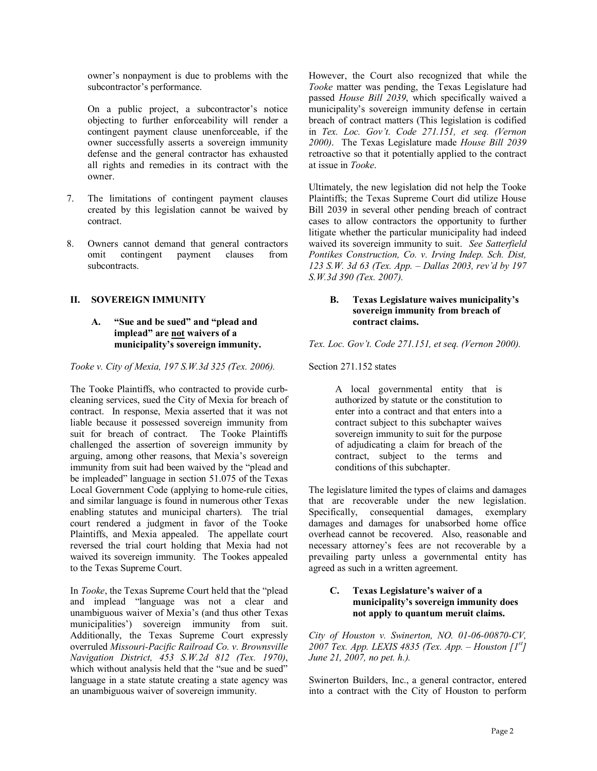owner's nonpayment is due to problems with the subcontractor's performance.

On a public project, a subcontractor's notice objecting to further enforceability will render a contingent payment clause unenforceable, if the owner successfully asserts a sovereign immunity defense and the general contractor has exhausted all rights and remedies in its contract with the owner.

- 7. The limitations of contingent payment clauses created by this legislation cannot be waived by contract.
- 8. Owners cannot demand that general contractors omit contingent payment clauses from subcontracts.

## **II. SOVEREIGN IMMUNITY**

## **A.** "Sue and be sued" and "plead and **implead**" are not waivers of a **municipalityís sovereign immunity.**

*Tooke v. City of Mexia, 197 S.W.3d 325 (Tex. 2006).* 

The Tooke Plaintiffs, who contracted to provide curbcleaning services, sued the City of Mexia for breach of contract. In response, Mexia asserted that it was not liable because it possessed sovereign immunity from suit for breach of contract. The Tooke Plaintiffs challenged the assertion of sovereign immunity by arguing, among other reasons, that Mexia's sovereign immunity from suit had been waived by the "plead and be impleaded" language in section 51.075 of the Texas Local Government Code (applying to home-rule cities, and similar language is found in numerous other Texas enabling statutes and municipal charters). The trial court rendered a judgment in favor of the Tooke Plaintiffs, and Mexia appealed. The appellate court reversed the trial court holding that Mexia had not waived its sovereign immunity. The Tookes appealed to the Texas Supreme Court.

In *Tooke*, the Texas Supreme Court held that the "plead" and implead "language was not a clear and unambiguous waiver of Mexia's (and thus other Texas municipalities<sup>'</sup>) sovereign immunity from suit. Additionally, the Texas Supreme Court expressly overruled *Missouri-Pacific Railroad Co. v. Brownsville Navigation District, 453 S.W.2d 812 (Tex. 1970)*, which without analysis held that the "sue and be sued" language in a state statute creating a state agency was an unambiguous waiver of sovereign immunity.

However, the Court also recognized that while the *Tooke* matter was pending, the Texas Legislature had passed *House Bill 2039*, which specifically waived a municipality's sovereign immunity defense in certain breach of contract matters (This legislation is codified in *Tex. Loc. Govít. Code 271.151, et seq. (Vernon 2000)*. The Texas Legislature made *House Bill 2039*  retroactive so that it potentially applied to the contract at issue in *Tooke*.

Ultimately, the new legislation did not help the Tooke Plaintiffs; the Texas Supreme Court did utilize House Bill 2039 in several other pending breach of contract cases to allow contractors the opportunity to further litigate whether the particular municipality had indeed waived its sovereign immunity to suit. *See Satterfield Pontikes Construction, Co. v. Irving Indep. Sch. Dist, 123 S.W. 3d 63 (Tex. App. – Dallas 2003, rev'd by 197 S.W.3d 390 (Tex. 2007).* 

#### **B.** Texas Legislature waives municipality's **sovereign immunity from breach of contract claims.**

*Tex. Loc. Govít. Code 271.151, et seq. (Vernon 2000).* 

Section 271.152 states

A local governmental entity that is authorized by statute or the constitution to enter into a contract and that enters into a contract subject to this subchapter waives sovereign immunity to suit for the purpose of adjudicating a claim for breach of the contract, subject to the terms and conditions of this subchapter.

The legislature limited the types of claims and damages that are recoverable under the new legislation. Specifically, consequential damages, exemplary damages and damages for unabsorbed home office overhead cannot be recovered. Also, reasonable and necessary attorney's fees are not recoverable by a prevailing party unless a governmental entity has agreed as such in a written agreement.

#### **C.** Texas Legislature's waiver of a **municipalityís sovereign immunity does not apply to quantum meruit claims.**

*City of Houston v. Swinerton, NO. 01-06-00870-CV, 2007 Tex. App. LEXIS 4835 (Tex. App. – Houston*  $[I^{st}]$ *June 21, 2007, no pet. h.).* 

Swinerton Builders, Inc., a general contractor, entered into a contract with the City of Houston to perform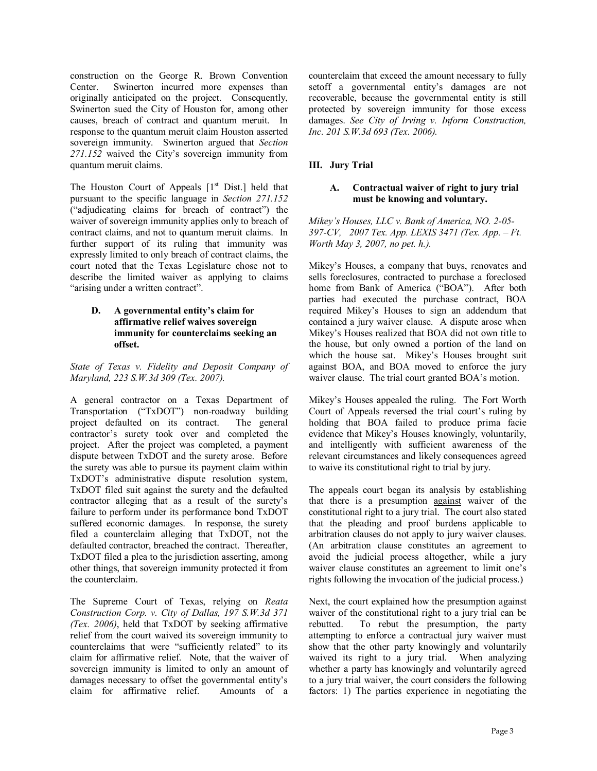construction on the George R. Brown Convention Center. Swinerton incurred more expenses than originally anticipated on the project. Consequently, Swinerton sued the City of Houston for, among other causes, breach of contract and quantum meruit. In response to the quantum meruit claim Houston asserted sovereign immunity. Swinerton argued that *Section*  271.152 waived the City's sovereign immunity from quantum meruit claims.

The Houston Court of Appeals  $[1<sup>st</sup> Dist.]$  held that pursuant to the specific language in *Section 271.152*  $i$ adjudicating claims for breach of contract") the waiver of sovereign immunity applies only to breach of contract claims, and not to quantum meruit claims. In further support of its ruling that immunity was expressly limited to only breach of contract claims, the court noted that the Texas Legislature chose not to describe the limited waiver as applying to claims "arising under a written contract".

#### **D.** A governmental entity's claim for **affirmative relief waives sovereign immunity for counterclaims seeking an offset.**

*State of Texas v. Fidelity and Deposit Company of Maryland, 223 S.W.3d 309 (Tex. 2007).* 

A general contractor on a Texas Department of Transportation ("TxDOT") non-roadway building project defaulted on its contract. The general contractor's surety took over and completed the project. After the project was completed, a payment dispute between TxDOT and the surety arose. Before the surety was able to pursue its payment claim within TxDOT's administrative dispute resolution system, TxDOT filed suit against the surety and the defaulted contractor alleging that as a result of the surety's failure to perform under its performance bond TxDOT suffered economic damages. In response, the surety filed a counterclaim alleging that TxDOT, not the defaulted contractor, breached the contract. Thereafter, TxDOT filed a plea to the jurisdiction asserting, among other things, that sovereign immunity protected it from the counterclaim.

The Supreme Court of Texas, relying on *Reata Construction Corp. v. City of Dallas, 197 S.W.3d 371 (Tex. 2006)*, held that TxDOT by seeking affirmative relief from the court waived its sovereign immunity to counterclaims that were "sufficiently related" to its claim for affirmative relief. Note, that the waiver of sovereign immunity is limited to only an amount of damages necessary to offset the governmental entity's claim for affirmative relief. Amounts of a counterclaim that exceed the amount necessary to fully setoff a governmental entity's damages are not recoverable, because the governmental entity is still protected by sovereign immunity for those excess damages. *See City of Irving v. Inform Construction, Inc. 201 S.W.3d 693 (Tex. 2006).* 

# **III. Jury Trial**

#### **A. Contractual waiver of right to jury trial must be knowing and voluntary.**

*Mikeyís Houses, LLC v. Bank of America, NO. 2-05- 397-CV, 2007 Tex. App. LEXIS 3471 (Tex. App. – Ft. Worth May 3, 2007, no pet. h.).* 

Mikey's Houses, a company that buys, renovates and sells foreclosures, contracted to purchase a foreclosed home from Bank of America ("BOA"). After both parties had executed the purchase contract, BOA required Mikey's Houses to sign an addendum that contained a jury waiver clause. A dispute arose when Mikey's Houses realized that BOA did not own title to the house, but only owned a portion of the land on which the house sat. Mikey's Houses brought suit against BOA, and BOA moved to enforce the jury waiver clause. The trial court granted BOA's motion.

Mikey's Houses appealed the ruling. The Fort Worth Court of Appeals reversed the trial court's ruling by holding that BOA failed to produce prima facie evidence that Mikey's Houses knowingly, voluntarily, and intelligently with sufficient awareness of the relevant circumstances and likely consequences agreed to waive its constitutional right to trial by jury.

The appeals court began its analysis by establishing that there is a presumption against waiver of the constitutional right to a jury trial. The court also stated that the pleading and proof burdens applicable to arbitration clauses do not apply to jury waiver clauses. (An arbitration clause constitutes an agreement to avoid the judicial process altogether, while a jury waiver clause constitutes an agreement to limit one's rights following the invocation of the judicial process.)

Next, the court explained how the presumption against waiver of the constitutional right to a jury trial can be rebutted. To rebut the presumption, the party attempting to enforce a contractual jury waiver must show that the other party knowingly and voluntarily waived its right to a jury trial. When analyzing whether a party has knowingly and voluntarily agreed to a jury trial waiver, the court considers the following factors: 1) The parties experience in negotiating the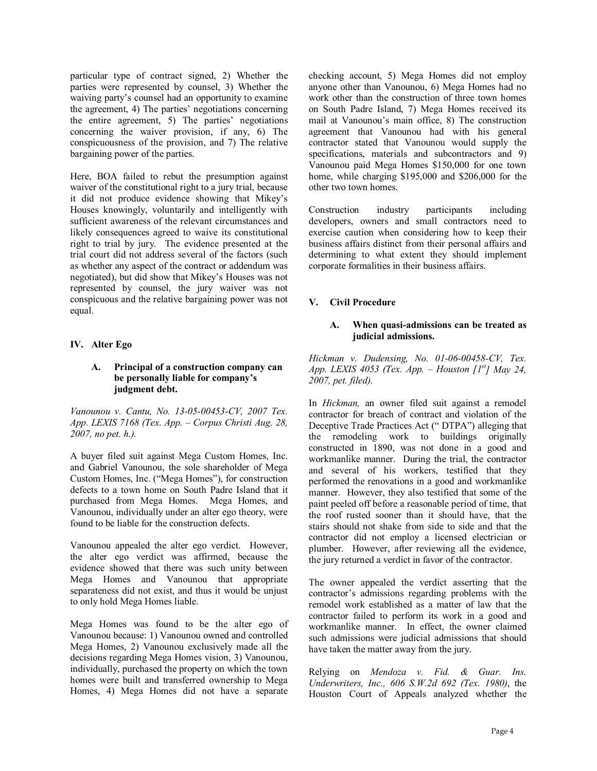particular type of contract signed, 2) Whether the parties were represented by counsel, 3) Whether the waiving party's counsel had an opportunity to examine the agreement, 4) The parties' negotiations concerning the entire agreement,  $5$ ) The parties' negotiations concerning the waiver provision, if any, 6) The conspicuousness of the provision, and 7) The relative bargaining power of the parties.

Here, BOA failed to rebut the presumption against waiver of the constitutional right to a jury trial, because it did not produce evidence showing that Mikey's Houses knowingly, voluntarily and intelligently with sufficient awareness of the relevant circumstances and likely consequences agreed to waive its constitutional right to trial by jury. The evidence presented at the trial court did not address several of the factors (such as whether any aspect of the contract or addendum was negotiated), but did show that Mikey's Houses was not represented by counsel, the jury waiver was not conspicuous and the relative bargaining power was not equal.

## **IV. Alter Ego**

#### **A. Principal of a construction company can be personally liable for companyís judgment debt.**

*Vanounou v. Cantu, No. 13-05-00453-CV, 2007 Tex.*  App. LEXIS 7168 (Tex. App. - Corpus Christi Aug. 28, *2007, no pet. h.).* 

A buyer filed suit against Mega Custom Homes, Inc. and Gabriel Vanounou, the sole shareholder of Mega Custom Homes, Inc. ("Mega Homes"), for construction defects to a town home on South Padre Island that it purchased from Mega Homes. Mega Homes, and Vanounou, individually under an alter ego theory, were found to be liable for the construction defects.

Vanounou appealed the alter ego verdict. However, the alter ego verdict was affirmed, because the evidence showed that there was such unity between Mega Homes and Vanounou that appropriate separateness did not exist, and thus it would be unjust to only hold Mega Homes liable.

Mega Homes was found to be the alter ego of Vanounou because: 1) Vanounou owned and controlled Mega Homes, 2) Vanounou exclusively made all the decisions regarding Mega Homes vision, 3) Vanounou, individually, purchased the property on which the town homes were built and transferred ownership to Mega Homes, 4) Mega Homes did not have a separate

checking account, 5) Mega Homes did not employ anyone other than Vanounou, 6) Mega Homes had no work other than the construction of three town homes on South Padre Island, 7) Mega Homes received its mail at Vanounou's main office, 8) The construction agreement that Vanounou had with his general contractor stated that Vanounou would supply the specifications, materials and subcontractors and 9) Vanounou paid Mega Homes \$150,000 for one town home, while charging \$195,000 and \$206,000 for the other two town homes.

Construction industry participants including developers, owners and small contractors need to exercise caution when considering how to keep their business affairs distinct from their personal affairs and determining to what extent they should implement corporate formalities in their business affairs.

# **V. Civil Procedure**

#### **A. When quasi-admissions can be treated as judicial admissions.**

*Hickman v. Dudensing, No. 01-06-00458-CV, Tex. App. LEXIS 4053 (Tex. App. – Houston*  $\lceil I^{st} \rceil$  *May 24, 2007, pet. filed).* 

In *Hickman,* an owner filed suit against a remodel contractor for breach of contract and violation of the Deceptive Trade Practices Act ("DTPA") alleging that the remodeling work to buildings originally constructed in 1890, was not done in a good and workmanlike manner. During the trial, the contractor and several of his workers, testified that they performed the renovations in a good and workmanlike manner. However, they also testified that some of the paint peeled off before a reasonable period of time, that the roof rusted sooner than it should have, that the stairs should not shake from side to side and that the contractor did not employ a licensed electrician or plumber. However, after reviewing all the evidence, the jury returned a verdict in favor of the contractor.

The owner appealed the verdict asserting that the contractor's admissions regarding problems with the remodel work established as a matter of law that the contractor failed to perform its work in a good and workmanlike manner. In effect, the owner claimed such admissions were judicial admissions that should have taken the matter away from the jury.

Relying on *Mendoza v. Fid. & Guar. Ins. Underwriters, Inc., 606 S.W.2d 692 (Tex. 1980)*, the Houston Court of Appeals analyzed whether the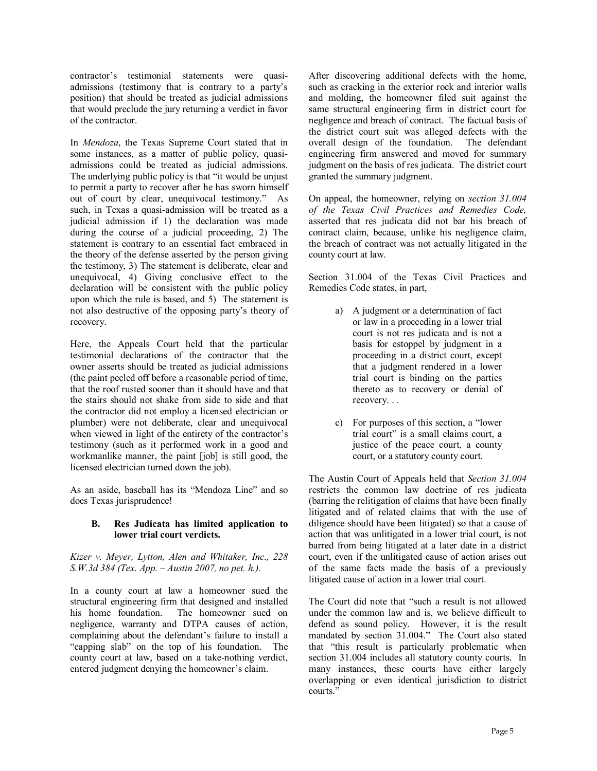contractor's testimonial statements were quasiadmissions (testimony that is contrary to a party's position) that should be treated as judicial admissions that would preclude the jury returning a verdict in favor of the contractor.

In *Mendoza*, the Texas Supreme Court stated that in some instances, as a matter of public policy, quasiadmissions could be treated as judicial admissions. The underlying public policy is that "it would be unjust to permit a party to recover after he has sworn himself out of court by clear, unequivocal testimony.<sup>n</sup> As such, in Texas a quasi-admission will be treated as a judicial admission if 1) the declaration was made during the course of a judicial proceeding, 2) The statement is contrary to an essential fact embraced in the theory of the defense asserted by the person giving the testimony, 3) The statement is deliberate, clear and unequivocal, 4) Giving conclusive effect to the declaration will be consistent with the public policy upon which the rule is based, and 5) The statement is not also destructive of the opposing party's theory of recovery.

Here, the Appeals Court held that the particular testimonial declarations of the contractor that the owner asserts should be treated as judicial admissions (the paint peeled off before a reasonable period of time, that the roof rusted sooner than it should have and that the stairs should not shake from side to side and that the contractor did not employ a licensed electrician or plumber) were not deliberate, clear and unequivocal when viewed in light of the entirety of the contractor's testimony (such as it performed work in a good and workmanlike manner, the paint [job] is still good, the licensed electrician turned down the job).

As an aside, baseball has its "Mendoza Line" and so does Texas jurisprudence!

#### **B. Res Judicata has limited application to lower trial court verdicts.**

*Kizer v. Meyer, Lytton, Alen and Whitaker, Inc., 228 S.W.3d 384 (Tex. App. – Austin 2007, no pet. h.).* 

In a county court at law a homeowner sued the structural engineering firm that designed and installed his home foundation. The homeowner sued on negligence, warranty and DTPA causes of action, complaining about the defendant's failure to install a "capping slab" on the top of his foundation. The county court at law, based on a take-nothing verdict, entered judgment denying the homeowner's claim.

After discovering additional defects with the home, such as cracking in the exterior rock and interior walls and molding, the homeowner filed suit against the same structural engineering firm in district court for negligence and breach of contract. The factual basis of the district court suit was alleged defects with the overall design of the foundation. The defendant engineering firm answered and moved for summary judgment on the basis of res judicata. The district court granted the summary judgment.

On appeal, the homeowner, relying on *section 31.004 of the Texas Civil Practices and Remedies Code,* asserted that res judicata did not bar his breach of contract claim, because, unlike his negligence claim, the breach of contract was not actually litigated in the county court at law.

Section 31.004 of the Texas Civil Practices and Remedies Code states, in part,

- a) A judgment or a determination of fact or law in a proceeding in a lower trial court is not res judicata and is not a basis for estoppel by judgment in a proceeding in a district court, except that a judgment rendered in a lower trial court is binding on the parties thereto as to recovery or denial of recovery. . .
- c) For purposes of this section, a  $\degree$ lower trial court" is a small claims court, a justice of the peace court, a county court, or a statutory county court.

The Austin Court of Appeals held that *Section 31.004* restricts the common law doctrine of res judicata (barring the relitigation of claims that have been finally litigated and of related claims that with the use of diligence should have been litigated) so that a cause of action that was unlitigated in a lower trial court, is not barred from being litigated at a later date in a district court, even if the unlitigated cause of action arises out of the same facts made the basis of a previously litigated cause of action in a lower trial court.

The Court did note that "such a result is not allowed under the common law and is, we believe difficult to defend as sound policy. However, it is the result mandated by section 31.004." The Court also stated that "this result is particularly problematic when section 31.004 includes all statutory county courts. In many instances, these courts have either largely overlapping or even identical jurisdiction to district courts."